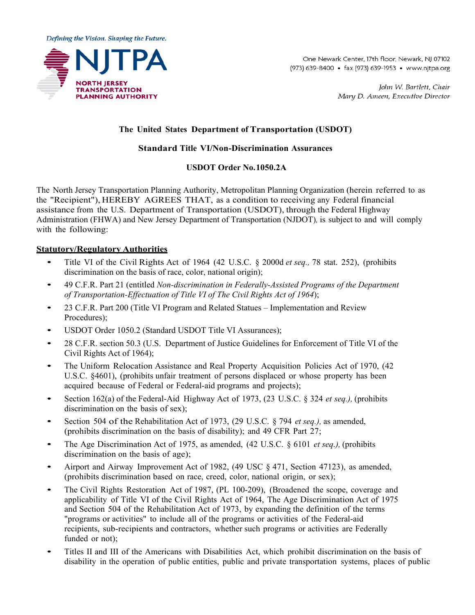Defining the Vision. Shaping the Future.



One Newark Center, 17th floor, Newark, NJ 07102 (973) 639-8400 • fax (973) 639-1953 • www.nitpa.org

> John W. Bartlett, Chair Mary D. Ameen, Executive Director

# **The United States Department of Transportation (USDOT)**

# **Standard Title VI/Non-Discrimination Assurances**

# **USDOT Order No.1050.2A**

The North Jersey Transportation Planning Authority, Metropolitan Planning Organization (herein referred to as the "Recipient"), HEREBY AGREES THAT, as a condition to receiving any Federal financial assistance from the U.S. Department of Transportation (USDOT), through the Federal Highway Administration (FHWA) and New Jersey Department of Transportation (NJDOT)*,* is subject to and will comply with the following:

# **Statutory/Regulatory Authorities**

- Title VI of the Civil Rights Act of <sup>1964</sup> (42 U.S.C. § 2000d *et seq.,* <sup>78</sup> stat. 252), (prohibits discrimination on the basis of race, color, national origin);
- 49 C.F.R. Part 21 (entitled *Non-discrimination in Federally-Assisted Programs of the Department of Transportation-Effectuation of Title VI of The Civil Rights Act of 1964*);
- 23 C.F.R. Part 200 (Title VI Program and Related Statues Implementation and Review Procedures);
- USDOT Order 1050.2 (Standard USDOT Title VI Assurances);
- 28 C.F.R. section 50.3 (U.S. Department of Justice Guidelines for Enforcement of Title VI of the Civil Rights Act of 1964);
- The Uniform Relocation Assistance and Real Property Acquisition Policies Act of 1970, (42) U.S.C. §4601), (prohibits unfair treatment of persons displaced or whose property has been acquired because of Federal or Federal-aid programs and projects);
- Section 162(a) of the Federal-Aid Highway Act of 1973, (23 U.S.C. § 324 *et seq.),* (prohibits discrimination on the basis of sex);
- Section <sup>504</sup> of the Rehabilitation Act of 1973, (29 U.S.C. § 794 *et seq.),* as amended, (prohibits discrimination on the basis of disability); and 49 CFR Part 27;
- The Age Discrimination Act of 1975, as amended, (42 U.S.C. § 6101 *et seq.),* (prohibits discrimination on the basis of age);
- Airport and Airway Improvement Act of 1982, (49 USC § 471, Section 47123), as amended, (prohibits discrimination based on race, creed, color, national origin, or sex);
- The Civil Rights Restoration Act of 1987, (PL 100-209), (Broadened the scope, coverage and applicability of Title VI of the Civil Rights Act of 1964, The Age Discrimination Act of 1975 and Section 504 of the Rehabilitation Act of 1973, by expanding the definition of the terms "programs or activities" to include all of the programs or activities of the Federal-aid recipients, sub-recipients and contractors, whether such programs or activities are Federally funded or not);
- Titles II and III of the Americans with Disabilities Act, which prohibit discrimination on the basis of disability in the operation of public entities, public and private transportation systems, places of public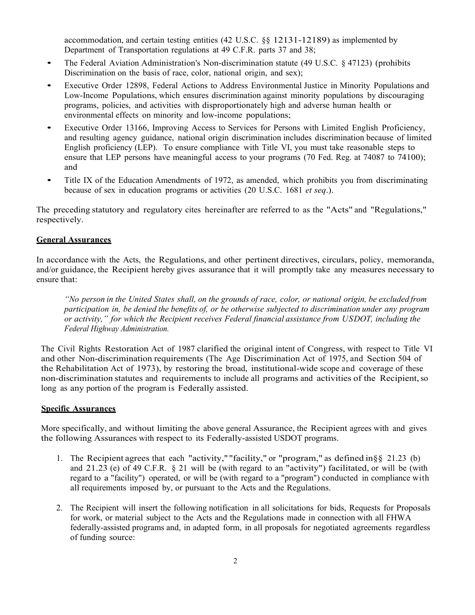accommodation, and certain testing entities (42 U.S.C. §§ 12131-12189) as implemented by Department of Transportation regulations at 49 C.F.R. parts 37 and 38;

- The Federal Aviation Administration's Non-discrimination statute (49 U.S.C. § 47123) (prohibits Discrimination on the basis of race, color, national origin, and sex);
- Executive Order 12898, Federal Actions to Address Environmental Justice in Minority Populations and Low-Income Populations, which ensures discrimination against minority populations by discouraging programs, policies, and activities with disproportionately high and adverse human health or environmental effects on minority and low-income populations;
- Executive Order 13166, Improving Access to Services for Persons with Limited English Proficiency, and resulting agency guidance, national origin discrimination includes discrimination because of limited English proficiency (LEP). To ensure compliance with Title VI, you must take reasonable steps to ensure that LEP persons have meaningful access to your programs (70 Fed. Reg. at 74087 to 74100); and
- Title IX of the Education Amendments of 1972, as amended, which prohibits you from discriminating because of sex in education programs or activities (20 U.S.C. 1681 *et seq*.).

The preceding statutory and regulatory cites hereinafter are referred to as the "Acts" and "Regulations," respectively.

#### **General Assurances**

In accordance with the Acts, the Regulations, and other pertinent directives, circulars, policy, memoranda, and/or guidance, the Recipient hereby gives assurance that it will promptly take any measures necessary to ensure that:

"No person in the United States shall, on the grounds of race, color, or national origin, be excluded from *participation in, be denied the benefits of, or be otherwise subjected to discrimination under any program or activity," for which the Recipient receives Federal financial assistance from USDOT, including the Federal Highway Administration.*

The Civil Rights Restoration Act of 1987 clarified the original intent of Congress, with respect to Title VI and other Non-discrimination requirements (The Age Discrimination Act of 1975, and Section 504 of the Rehabilitation Act of 1973), by restoring the broad, institutional-wide scope and coverage of these non-discrimination statutes and requirements to include all programs and activities of the Recipient, so long as any portion of the program is Federally assisted.

#### **Specific Assurances**

More specifically, and without limiting the above general Assurance, the Recipient agrees with and gives the following Assurances with respect to its Federally-assisted USDOT programs.

- 1. The Recipient agrees that each "activity," "facility," or "program," as defined in§§ 21.23 (b) and 21.23 (e) of 49 C.F.R. § 21 will be (with regard to an "activity") facilitated, or will be (with regard to a "facility") operated, or will be (with regard to a "program") conducted in compliance with all requirements imposed by, or pursuant to the Acts and the Regulations.
- 2. The Recipient will insert the following notification in all solicitations for bids, Requests for Proposals for work, or material subject to the Acts and the Regulations made in connection with all FHWA federally-assisted programs and, in adapted form, in all proposals for negotiated agreements regardless of funding source: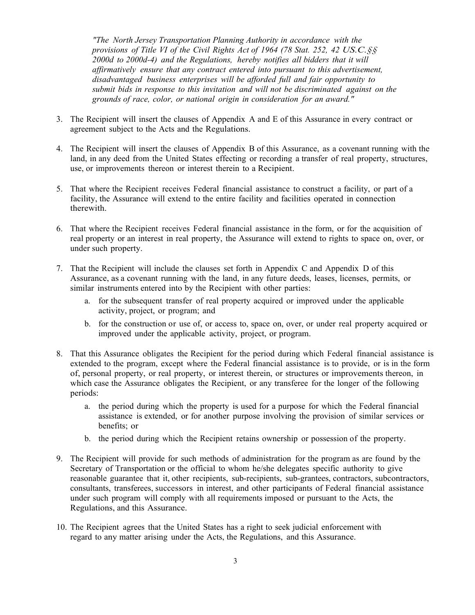*"The North Jersey Transportation Planning Authority in accordance with the provisions of Title VI of the Civil Rights Act of 1964 (78 Stat. 252, 42 US.C.§§ 2000d to 2000d-4) and the Regulations, hereby notifies all bidders that it will affirmatively ensure that any contract entered into pursuant to this advertisement, disadvantaged business enterprises will be afforded full and fair opportunity to submit bids in response to this invitation and will not be discriminated against on the grounds of race, color, or national origin in consideration for an award."*

- 3. The Recipient will insert the clauses of Appendix A and E of this Assurance in every contract or agreement subject to the Acts and the Regulations.
- 4. The Recipient will insert the clauses of Appendix B of this Assurance, as a covenant running with the land, in any deed from the United States effecting or recording a transfer of real property, structures, use, or improvements thereon or interest therein to a Recipient.
- 5. That where the Recipient receives Federal financial assistance to construct a facility, or part of a facility, the Assurance will extend to the entire facility and facilities operated in connection therewith.
- 6. That where the Recipient receives Federal financial assistance in the form, or for the acquisition of real property or an interest in real property, the Assurance will extend to rights to space on, over, or under such property.
- 7. That the Recipient will include the clauses set forth in Appendix C and Appendix D of this Assurance, as a covenant running with the land, in any future deeds, leases, licenses, permits, or similar instruments entered into by the Recipient with other parties:
	- a. for the subsequent transfer of real property acquired or improved under the applicable activity, project, or program; and
	- b. for the construction or use of, or access to, space on, over, or under real property acquired or improved under the applicable activity, project, or program.
- 8. That this Assurance obligates the Recipient for the period during which Federal financial assistance is extended to the program, except where the Federal financial assistance is to provide, or is in the form of, personal property, or real property, or interest therein, or structures or improvements thereon, in which case the Assurance obligates the Recipient, or any transferee for the longer of the following periods:
	- a. the period during which the property is used for a purpose for which the Federal financial assistance is extended, or for another purpose involving the provision of similar services or benefits; or
	- b. the period during which the Recipient retains ownership or possession of the property.
- 9. The Recipient will provide for such methods of administration for the program as are found by the Secretary of Transportation or the official to whom he/she delegates specific authority to give reasonable guarantee that it, other recipients, sub-recipients, sub-grantees, contractors, subcontractors, consultants, transferees, successors in interest, and other participants of Federal financial assistance under such program will comply with all requirements imposed or pursuant to the Acts, the Regulations, and this Assurance.
- 10. The Recipient agrees that the United States has a right to seek judicial enforcement with regard to any matter arising under the Acts, the Regulations, and this Assurance.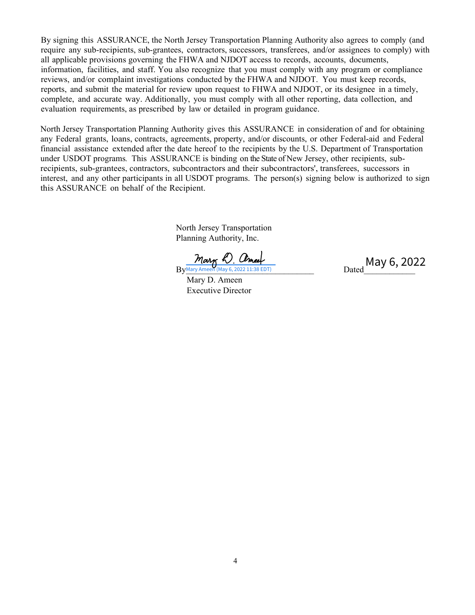By signing this ASSURANCE, the North Jersey Transportation Planning Authority also agrees to comply (and require any sub-recipients, sub-grantees, contractors, successors, transferees, and/or assignees to comply) with all applicable provisions governing the FHWA and NJDOT access to records, accounts, documents, information, facilities, and staff. You also recognize that you must comply with any program or compliance reviews, and/or complaint investigations conducted by the FHWA and NJDOT. You must keep records, reports, and submit the material for review upon request to FHWA and NJDOT, or its designee in a timely, complete, and accurate way. Additionally, you must comply with all other reporting, data collection, and evaluation requirements, as prescribed by law or detailed in program guidance.

North Jersey Transportation Planning Authority gives this ASSURANCE in consideration of and for obtaining any Federal grants, loans, contracts, agreements, property, and/or discounts, or other Federal-aid and Federal financial assistance extended after the date hereof to the recipients by the U.S. Department of Transportation under USDOT programs*.* This ASSURANCE is binding on the State of New Jersey, other recipients, subrecipients, sub-grantees, contractors, subcontractors and their subcontractors', transferees, successors in interest, and any other participants in all USDOT programs. The person(s) signing below is authorized to sign this ASSURANCE on behalf of the Recipient.

> North Jersey Transportation Planning Authority, Inc.

 Mary D. Ameen Executive Director

 $By$ Mary Ameen (May 6, 2022 11:38 EDT)  $Dated$ Dated May 6, 2022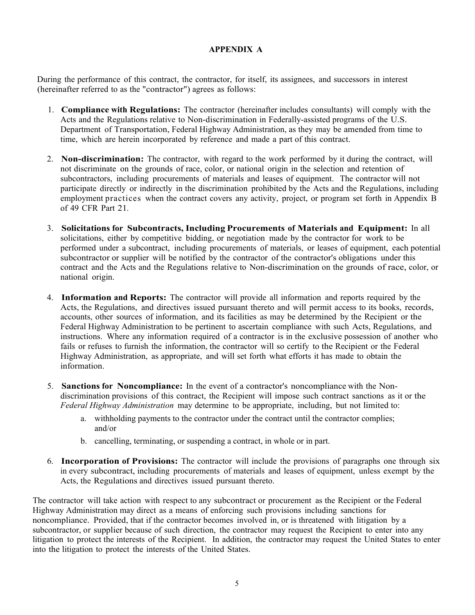# **APPENDIX A**

During the performance of this contract, the contractor, for itself, its assignees, and successors in interest (hereinafter referred to as the "contractor") agrees as follows:

- 1. **Compliance with Regulations:** The contractor (hereinafter includes consultants) will comply with the Acts and the Regulations relative to Non-discrimination in Federally-assisted programs of the U.S. Department of Transportation, Federal Highway Administration, as they may be amended from time to time, which are herein incorporated by reference and made a part of this contract.
- 2. **Non-discrimination:** The contractor, with regard to the work performed by it during the contract, will not discriminate on the grounds of race, color, or national origin in the selection and retention of subcontractors, including procurements of materials and leases of equipment. The contractor will not participate directly or indirectly in the discrimination prohibited by the Acts and the Regulations, including employment practices when the contract covers any activity, project, or program set forth in Appendix B of 49 CFR Part 21*.*
- 3. **Solicitations for Subcontracts, Including Procurements of Materials and Equipment:** In all solicitations, either by competitive bidding, or negotiation made by the contractor for work to be performed under a subcontract, including procurements of materials, or leases of equipment, each potential subcontractor or supplier will be notified by the contractor of the contractor's obligations under this contract and the Acts and the Regulations relative to Non-discrimination on the grounds of race, color, or national origin.
- 4. **Information and Reports:** The contractor will provide all information and reports required by the Acts, the Regulations, and directives issued pursuant thereto and will permit access to its books, records, accounts, other sources of information, and its facilities as may be determined by the Recipient or the Federal Highway Administration to be pertinent to ascertain compliance with such Acts, Regulations, and instructions. Where any information required of a contractor is in the exclusive possession of another who fails or refuses to furnish the information, the contractor will so certify to the Recipient or the Federal Highway Administration, as appropriate, and will set forth what efforts it has made to obtain the information.
- 5. **Sanctions for Noncompliance:** In the event of a contractor's noncompliance with the Nondiscrimination provisions of this contract, the Recipient will impose such contract sanctions as it or the *Federal Highway Administration* may determine to be appropriate, including, but not limited to:
	- a. withholding payments to the contractor under the contract until the contractor complies; and/or
	- b. cancelling, terminating, or suspending a contract, in whole or in part.
- 6. **Incorporation of Provisions:** The contractor will include the provisions of paragraphs one through six in every subcontract, including procurements of materials and leases of equipment, unless exempt by the Acts, the Regulations and directives issued pursuant thereto.

The contractor will take action with respect to any subcontract or procurement as the Recipient or the Federal Highway Administration may direct as a means of enforcing such provisions including sanctions for noncompliance. Provided, that if the contractor becomes involved in, or is threatened with litigation by a subcontractor, or supplier because of such direction, the contractor may request the Recipient to enter into any litigation to protect the interests of the Recipient. In addition, the contractor may request the United States to enter into the litigation to protect the interests of the United States.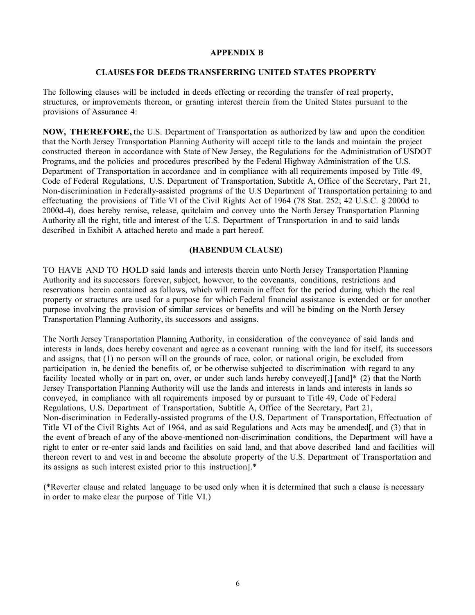#### **APPENDIX B**

#### **CLAUSES FOR DEEDS TRANSFERRING UNITED STATES PROPERTY**

The following clauses will be included in deeds effecting or recording the transfer of real property, structures, or improvements thereon, or granting interest therein from the United States pursuant to the provisions of Assurance 4:

**NOW, THEREFORE,** the U.S. Department of Transportation as authorized by law and upon the condition that the North Jersey Transportation Planning Authority will accept title to the lands and maintain the project constructed thereon in accordance with State of New Jersey, the Regulations for the Administration of USDOT Programs, and the policies and procedures prescribed by the Federal Highway Administration of the U.S. Department of Transportation in accordance and in compliance with all requirements imposed by Title 49, Code of Federal Regulations, U.S. Department of Transportation, Subtitle A, Office of the Secretary, Part 21, Non-discrimination in Federally-assisted programs of the U.S Department of Transportation pertaining to and effectuating the provisions of Title VI of the Civil Rights Act of 1964 (78 Stat. 252; 42 U.S.C. § 2000d to 2000d-4), does hereby remise, release, quitclaim and convey unto the North Jersey Transportation Planning Authority all the right, title and interest of the U.S. Department of Transportation in and to said lands described in Exhibit A attached hereto and made a part hereof.

#### **(HABENDUM CLAUSE)**

TO HAVE AND TO HOLD said lands and interests therein unto North Jersey Transportation Planning Authority and its successors forever, subject, however, to the covenants, conditions, restrictions and reservations herein contained as follows, which will remain in effect for the period during which the real property or structures are used for a purpose for which Federal financial assistance is extended or for another purpose involving the provision of similar services or benefits and will be binding on the North Jersey Transportation Planning Authority, its successors and assigns.

The North Jersey Transportation Planning Authority, in consideration of the conveyance of said lands and interests in lands, does hereby covenant and agree as a covenant running with the land for itself, its successors and assigns, that (1) no person will on the grounds of race, color, or national origin, be excluded from participation in, be denied the benefits of, or be otherwise subjected to discrimination with regard to any facility located wholly or in part on, over, or under such lands hereby conveyed[,] [and]\* (2) that the North Jersey Transportation Planning Authority will use the lands and interests in lands and interests in lands so conveyed, in compliance with all requirements imposed by or pursuant to Title 49, Code of Federal Regulations, U.S. Department of Transportation, Subtitle A, Office of the Secretary, Part 21, Non-discrimination in Federally-assisted programs of the U.S. Department of Transportation, Effectuation of Title VI of the Civil Rights Act of 1964, and as said Regulations and Acts may be amended[, and (3) that in the event of breach of any of the above-mentioned non-discrimination conditions, the Department will have a right to enter or re-enter said lands and facilities on said land, and that above described land and facilities will thereon revert to and vest in and become the absolute property of the U.S. Department of Transportation and its assigns as such interest existed prior to this instruction].\*

(\*Reverter clause and related language to be used only when it is determined that such a clause is necessary in order to make clear the purpose of Title VI.)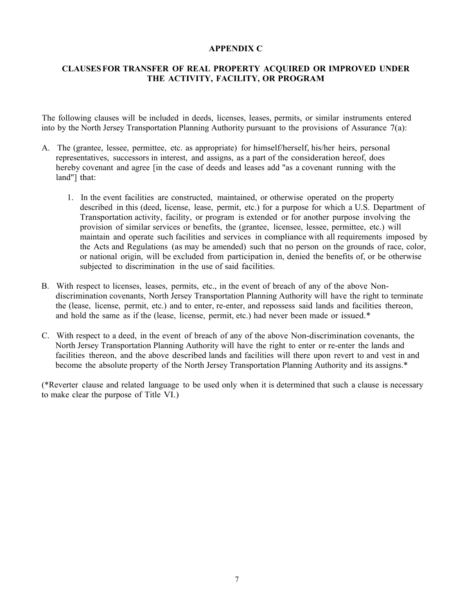#### **APPENDIX C**

# **CLAUSESFOR TRANSFER OF REAL PROPERTY ACQUIRED OR IMPROVED UNDER THE ACTIVITY, FACILITY, OR PROGRAM**

The following clauses will be included in deeds, licenses, leases, permits, or similar instruments entered into by the North Jersey Transportation Planning Authority pursuant to the provisions of Assurance  $7(a)$ :

- A. The (grantee, lessee, permittee, etc. as appropriate) for himself/herself, his/her heirs, personal representatives, successors in interest, and assigns, as a part of the consideration hereof, does hereby covenant and agree [in the case of deeds and leases add "as a covenant running with the land"] that:
	- 1. In the event facilities are constructed, maintained, or otherwise operated on the property described in this (deed, license, lease, permit, etc.) for a purpose for which a U.S. Department of Transportation activity, facility, or program is extended or for another purpose involving the provision of similar services or benefits, the (grantee, licensee, lessee, permittee, etc.) will maintain and operate such facilities and services in compliance with all requirements imposed by the Acts and Regulations (as may be amended) such that no person on the grounds of race, color, or national origin, will be excluded from participation in, denied the benefits of, or be otherwise subjected to discrimination in the use of said facilities.
- B. With respect to licenses, leases, permits, etc., in the event of breach of any of the above Nondiscrimination covenants, North Jersey Transportation Planning Authority will have the right to terminate the (lease, license, permit, etc.) and to enter, re-enter, and repossess said lands and facilities thereon, and hold the same as if the (lease, license, permit, etc.) had never been made or issued.\*
- C. With respect to a deed, in the event of breach of any of the above Non-discrimination covenants, the North Jersey Transportation Planning Authority will have the right to enter or re-enter the lands and facilities thereon, and the above described lands and facilities will there upon revert to and vest in and become the absolute property of the North Jersey Transportation Planning Authority and its assigns.\*

(\*Reverter clause and related language to be used only when it is determined that such a clause is necessary to make clear the purpose of Title VI.)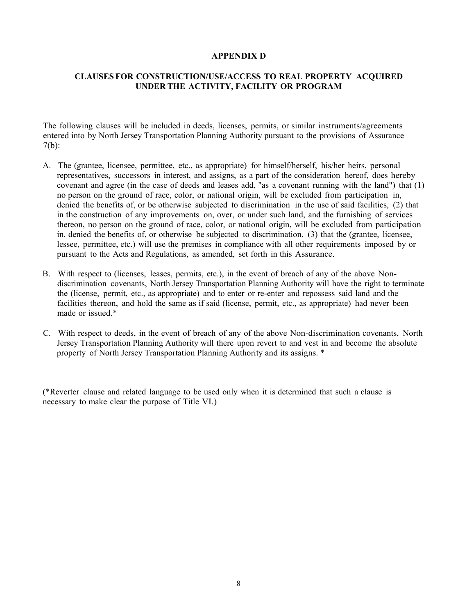#### **APPENDIX D**

### **CLAUSES FOR CONSTRUCTION/USE/ACCESS TO REAL PROPERTY ACQUIRED UNDER THE ACTIVITY, FACILITY OR PROGRAM**

The following clauses will be included in deeds, licenses, permits, or similar instruments/agreements entered into by North Jersey Transportation Planning Authority pursuant to the provisions of Assurance 7(b):

- A. The (grantee, licensee, permittee, etc., as appropriate) for himself/herself, his/her heirs, personal representatives, successors in interest, and assigns, as a part of the consideration hereof, does hereby covenant and agree (in the case of deeds and leases add, "as a covenant running with the land") that (1) no person on the ground of race, color, or national origin, will be excluded from participation in, denied the benefits of, or be otherwise subjected to discrimination in the use of said facilities, (2) that in the construction of any improvements on, over, or under such land, and the furnishing of services thereon, no person on the ground of race, color, or national origin, will be excluded from participation in, denied the benefits of, or otherwise be subjected to discrimination, (3) that the (grantee, licensee, lessee, permittee, etc.) will use the premises in compliance with all other requirements imposed by or pursuant to the Acts and Regulations, as amended, set forth in this Assurance.
- B. With respect to (licenses, leases, permits, etc.), in the event of breach of any of the above Nondiscrimination covenants, North Jersey Transportation Planning Authority will have the right to terminate the (license, permit, etc., as appropriate) and to enter or re-enter and repossess said land and the facilities thereon, and hold the same as if said (license, permit, etc., as appropriate) had never been made or issued.\*
- C. With respect to deeds, in the event of breach of any of the above Non-discrimination covenants, North Jersey Transportation Planning Authority will there upon revert to and vest in and become the absolute property of North Jersey Transportation Planning Authority and its assigns. \*

(\*Reverter clause and related language to be used only when it is determined that such a clause is necessary to make clear the purpose of Title VI.)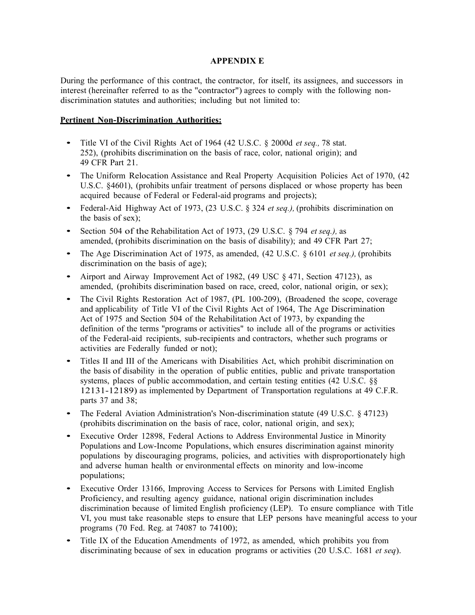#### **APPENDIX E**

During the performance of this contract, the contractor, for itself, its assignees, and successors in interest (hereinafter referred to as the "contractor") agrees to comply with the following nondiscrimination statutes and authorities; including but not limited to:

#### **Pertinent Non-Discrimination Authorities:**

- Title VI of the Civil Rights Act of 1964 (42 U.S.C. § 2000d *et seq.,* <sup>78</sup> stat. 252), (prohibits discrimination on the basis of race, color, national origin); and 49 CFR Part 21.
- The Uniform Relocation Assistance and Real Property Acquisition Policies Act of 1970, (42) U.S.C. §4601), (prohibits unfair treatment of persons displaced or whose property has been acquired because of Federal or Federal-aid programs and projects);
- Federal-Aid Highway Act of 1973, (23 U.S.C. § 324 *et seq.),* (prohibits discrimination on the basis of sex);
- Section <sup>504</sup> of the Rehabilitation Act of 1973, (29 U.S.C. § 794 *et seq.),* as amended, (prohibits discrimination on the basis of disability); and 49 CFR Part 27;
- The Age Discrimination Act of 1975, as amended, (42 U.S.C. § 6101 *et seq.),* (prohibits discrimination on the basis of age);
- Airport and Airway Improvement Act of 1982, (49 USC § 471, Section 47123), as amended, (prohibits discrimination based on race, creed, color, national origin, or sex);
- The Civil Rights Restoration Act of 1987, (PL 100-209), (Broadened the scope, coverage and applicability of Title VI of the Civil Rights Act of 1964, The Age Discrimination Act of 1975 and Section 504 of the Rehabilitation Act of 1973, by expanding the definition of the terms "programs or activities" to include all of the programs or activities of the Federal-aid recipients, sub-recipients and contractors, whether such programs or activities are Federally funded or not);
- Titles II and III of the Americans with Disabilities Act, which prohibit discrimination on the basis of disability in the operation of public entities, public and private transportation systems, places of public accommodation, and certain testing entities (42 U.S.C. §§ 12131-12189) as implemented by Department of Transportation regulations at 49 C.F.R. parts 37 and 38;
- The Federal Aviation Administration's Non-discrimination statute (49 U.S.C. § 47123) (prohibits discrimination on the basis of race, color, national origin, and sex);
- Executive Order 12898, Federal Actions to Address Environmental Justice in Minority Populations and Low-Income Populations, which ensures discrimination against minority populations by discouraging programs, policies, and activities with disproportionately high and adverse human health or environmental effects on minority and low-income populations;
- Executive Order 13166, Improving Access to Services for Persons with Limited English Proficiency, and resulting agency guidance, national origin discrimination includes discrimination because of limited English proficiency (LEP). To ensure compliance with Title VI, you must take reasonable steps to ensure that LEP persons have meaningful access to your programs (70 Fed. Reg. at 74087 to 74100);
- Title IX of the Education Amendments of 1972, as amended, which prohibits you from discriminating because of sex in education programs or activities (20 U.S.C. 1681 *et seq*).